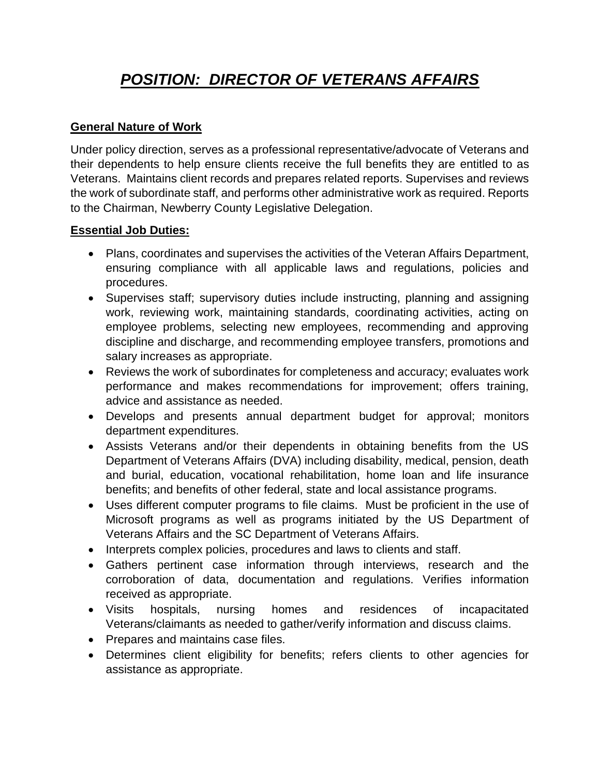# *POSITION: DIRECTOR OF VETERANS AFFAIRS*

### **General Nature of Work**

Under policy direction, serves as a professional representative/advocate of Veterans and their dependents to help ensure clients receive the full benefits they are entitled to as Veterans. Maintains client records and prepares related reports. Supervises and reviews the work of subordinate staff, and performs other administrative work as required. Reports to the Chairman, Newberry County Legislative Delegation.

### **Essential Job Duties:**

- Plans, coordinates and supervises the activities of the Veteran Affairs Department, ensuring compliance with all applicable laws and regulations, policies and procedures.
- Supervises staff; supervisory duties include instructing, planning and assigning work, reviewing work, maintaining standards, coordinating activities, acting on employee problems, selecting new employees, recommending and approving discipline and discharge, and recommending employee transfers, promotions and salary increases as appropriate.
- Reviews the work of subordinates for completeness and accuracy; evaluates work performance and makes recommendations for improvement; offers training, advice and assistance as needed.
- Develops and presents annual department budget for approval; monitors department expenditures.
- Assists Veterans and/or their dependents in obtaining benefits from the US Department of Veterans Affairs (DVA) including disability, medical, pension, death and burial, education, vocational rehabilitation, home loan and life insurance benefits; and benefits of other federal, state and local assistance programs.
- Uses different computer programs to file claims. Must be proficient in the use of Microsoft programs as well as programs initiated by the US Department of Veterans Affairs and the SC Department of Veterans Affairs.
- Interprets complex policies, procedures and laws to clients and staff.
- Gathers pertinent case information through interviews, research and the corroboration of data, documentation and regulations. Verifies information received as appropriate.
- Visits hospitals, nursing homes and residences of incapacitated Veterans/claimants as needed to gather/verify information and discuss claims.
- Prepares and maintains case files.
- Determines client eligibility for benefits; refers clients to other agencies for assistance as appropriate.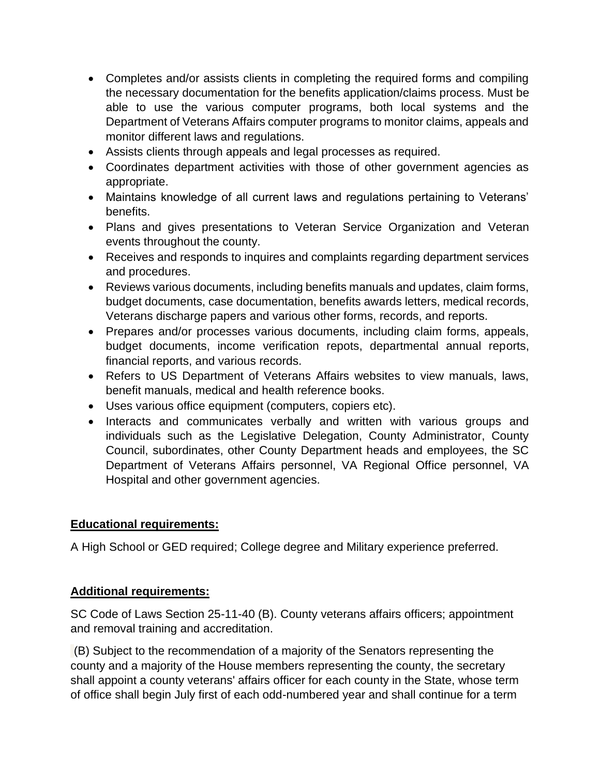- Completes and/or assists clients in completing the required forms and compiling the necessary documentation for the benefits application/claims process. Must be able to use the various computer programs, both local systems and the Department of Veterans Affairs computer programs to monitor claims, appeals and monitor different laws and regulations.
- Assists clients through appeals and legal processes as required.
- Coordinates department activities with those of other government agencies as appropriate.
- Maintains knowledge of all current laws and regulations pertaining to Veterans' benefits.
- Plans and gives presentations to Veteran Service Organization and Veteran events throughout the county.
- Receives and responds to inquires and complaints regarding department services and procedures.
- Reviews various documents, including benefits manuals and updates, claim forms, budget documents, case documentation, benefits awards letters, medical records, Veterans discharge papers and various other forms, records, and reports.
- Prepares and/or processes various documents, including claim forms, appeals, budget documents, income verification repots, departmental annual reports, financial reports, and various records.
- Refers to US Department of Veterans Affairs websites to view manuals, laws, benefit manuals, medical and health reference books.
- Uses various office equipment (computers, copiers etc).
- Interacts and communicates verbally and written with various groups and individuals such as the Legislative Delegation, County Administrator, County Council, subordinates, other County Department heads and employees, the SC Department of Veterans Affairs personnel, VA Regional Office personnel, VA Hospital and other government agencies.

## **Educational requirements:**

A High School or GED required; College degree and Military experience preferred.

#### **Additional requirements:**

SC Code of Laws Section 25-11-40 (B). County veterans affairs officers; appointment and removal training and accreditation.

(B) Subject to the recommendation of a majority of the Senators representing the county and a majority of the House members representing the county, the secretary shall appoint a county veterans' affairs officer for each county in the State, whose term of office shall begin July first of each odd-numbered year and shall continue for a term